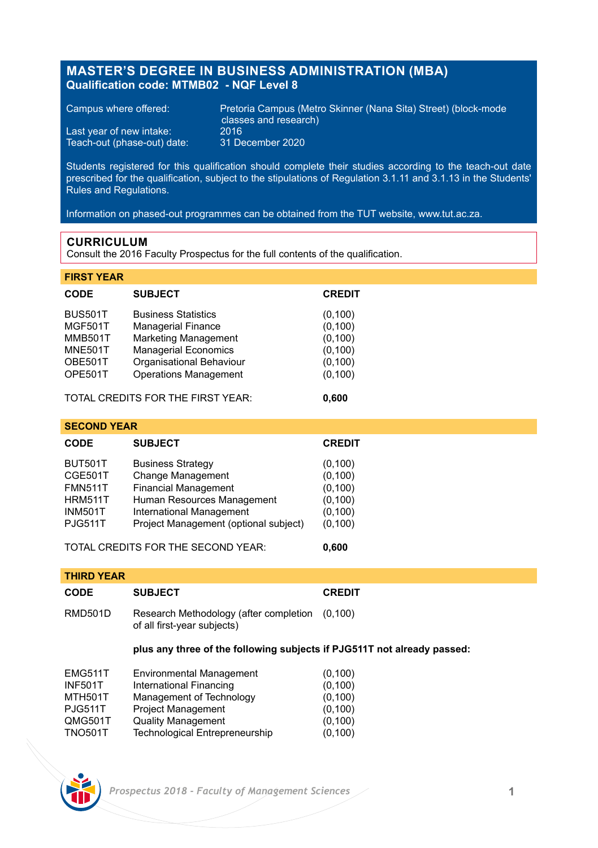## **MASTER'S DEGREE IN BUSINESS ADMINISTRATION (MBA) Qualification code: MTMB02 - NQF Level 8**

Last year of new intake: 2016<br>Teach-out (phase-out) date: 31 December 2020 Teach-out (phase-out) date:

Campus where offered: Pretoria Campus (Metro Skinner (Nana Sita) Street) (block-mode classes and research)<br>2016

Students registered for this qualification should complete their studies according to the teach-out date prescribed for the qualification, subject to the stipulations of Regulation 3.1.11 and 3.1.13 in the Students' Rules and Regulations.

Information on phased-out programmes can be obtained from the TUT website, www.tut.ac.za.

## **CURRICULUM**

Consult the 2016 Faculty Prospectus for the full contents of the qualification.

| <b>FIRST YEAR</b> |                              |               |
|-------------------|------------------------------|---------------|
| <b>CODE</b>       | <b>SUBJECT</b>               | <b>CREDIT</b> |
| <b>BUS501T</b>    | <b>Business Statistics</b>   | (0, 100)      |
| <b>MGF501T</b>    | <b>Managerial Finance</b>    | (0, 100)      |
| <b>MMB501T</b>    | <b>Marketing Management</b>  | (0, 100)      |
| <b>MNE501T</b>    | <b>Managerial Economics</b>  | (0, 100)      |
| OBE501T           | Organisational Behaviour     | (0, 100)      |
| OPE501T           | <b>Operations Management</b> | (0, 100)      |
|                   |                              |               |

TOTAL CREDITS FOR THE FIRST YEAR: **0,600**

| <b>SECOND YEAR</b>                 |                                       |               |  |  |
|------------------------------------|---------------------------------------|---------------|--|--|
| <b>CODE</b>                        | <b>SUBJECT</b>                        | <b>CREDIT</b> |  |  |
| BUT501T                            | <b>Business Strategy</b>              | (0, 100)      |  |  |
| CGE501T                            | Change Management                     | (0, 100)      |  |  |
| FMN511T                            | <b>Financial Management</b>           | (0, 100)      |  |  |
| HRM511T                            | Human Resources Management            | (0, 100)      |  |  |
| INM501T                            | International Management              | (0, 100)      |  |  |
| <b>PJG511T</b>                     | Project Management (optional subject) | (0, 100)      |  |  |
| TOTAL CREDITS FOR THE SECOND YEAR: |                                       | 0.600         |  |  |

| <b>THIRD YEAR</b> |                                                                                  |               |  |  |
|-------------------|----------------------------------------------------------------------------------|---------------|--|--|
| <b>CODE</b>       | <b>SUBJECT</b>                                                                   | <b>CREDIT</b> |  |  |
| RMD501D           | Research Methodology (after completion<br>(0.100)<br>of all first-year subjects) |               |  |  |
|                   | plus any three of the following subjects if PJG511T not already passed:          |               |  |  |
| <b>EMG511T</b>    | <b>Environmental Management</b>                                                  | (0, 100)      |  |  |
| <b>INF501T</b>    | International Financing                                                          | (0, 100)      |  |  |
| <b>MTH501T</b>    | Management of Technology                                                         | (0, 100)      |  |  |
| <b>PJG511T</b>    | <b>Project Management</b>                                                        | (0, 100)      |  |  |
| QMG501T           | <b>Quality Management</b>                                                        | (0, 100)      |  |  |
| <b>TNO501T</b>    | <b>Technological Entrepreneurship</b>                                            | (0, 100)      |  |  |



 *Prospectus 2018 - Faculty of Management Sciences* **1**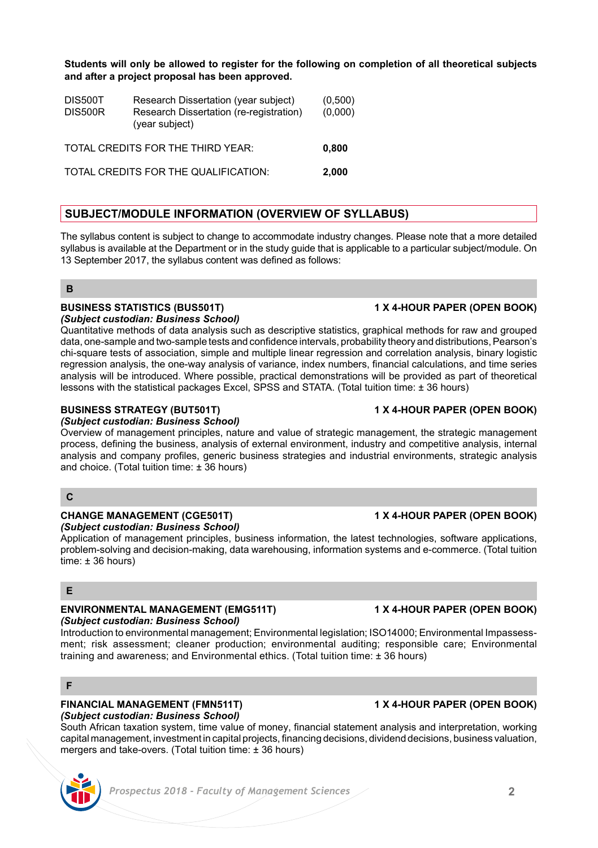**Students will only be allowed to register for the following on completion of all theoretical subjects and after a project proposal has been approved.**

| DIS500T<br>DIS500R                | Research Dissertation (year subject)<br>Research Dissertation (re-registration)<br>(year subject) | (0,500)<br>(0,000) |
|-----------------------------------|---------------------------------------------------------------------------------------------------|--------------------|
| TOTAL CREDITS FOR THE THIRD YEAR: | 0.800                                                                                             |                    |
|                                   | TOTAL CREDITS FOR THE QUALIFICATION:                                                              | 2.000              |

## **SUBJECT/MODULE INFORMATION (OVERVIEW OF SYLLABUS)**

The syllabus content is subject to change to accommodate industry changes. Please note that a more detailed syllabus is available at the Department or in the study guide that is applicable to a particular subject/module. On 13 September 2017, the syllabus content was defined as follows:

## **B**

### **BUSINESS STATISTICS (BUS501T) 1 X 4-HOUR PAPER (OPEN BOOK)** *(Subject custodian: Business School)*

Quantitative methods of data analysis such as descriptive statistics, graphical methods for raw and grouped data, one-sample and two-sample tests and confidence intervals, probability theory and distributions, Pearson's chi-square tests of association, simple and multiple linear regression and correlation analysis, binary logistic regression analysis, the one-way analysis of variance, index numbers, financial calculations, and time series analysis will be introduced. Where possible, practical demonstrations will be provided as part of theoretical lessons with the statistical packages Excel, SPSS and STATA. (Total tuition time: ± 36 hours)

## **BUSINESS STRATEGY (BUT501T) 1 X 4-HOUR PAPER (OPEN BOOK)**

## *(Subject custodian: Business School)*

Overview of management principles, nature and value of strategic management, the strategic management process, defining the business, analysis of external environment, industry and competitive analysis, internal analysis and company profiles, generic business strategies and industrial environments, strategic analysis and choice. (Total tuition time: ± 36 hours)

## **C**

## **CHANGE MANAGEMENT (CGE501T) 1 X 4-HOUR PAPER (OPEN BOOK)**

*(Subject custodian: Business School)*

Application of management principles, business information, the latest technologies, software applications, problem-solving and decision-making, data warehousing, information systems and e-commerce. (Total tuition time: ± 36 hours)

## **E**

## **ENVIRONMENTAL MANAGEMENT (EMG511T) 1 X 4-HOUR PAPER (OPEN BOOK)**

## *(Subject custodian: Business School)*

Introduction to environmental management; Environmental legislation; ISO14000; Environmental Impassessment; risk assessment; cleaner production; environmental auditing; responsible care; Environmental training and awareness; and Environmental ethics. (Total tuition time: ± 36 hours)

## **F**

### **FINANCIAL MANAGEMENT (FMN511T) 1 X 4-HOUR PAPER (OPEN BOOK)** *(Subject custodian: Business School)*

South African taxation system, time value of money, financial statement analysis and interpretation, working capital management, investment in capital projects, financing decisions, dividend decisions, business valuation, mergers and take-overs. (Total tuition time: ± 36 hours)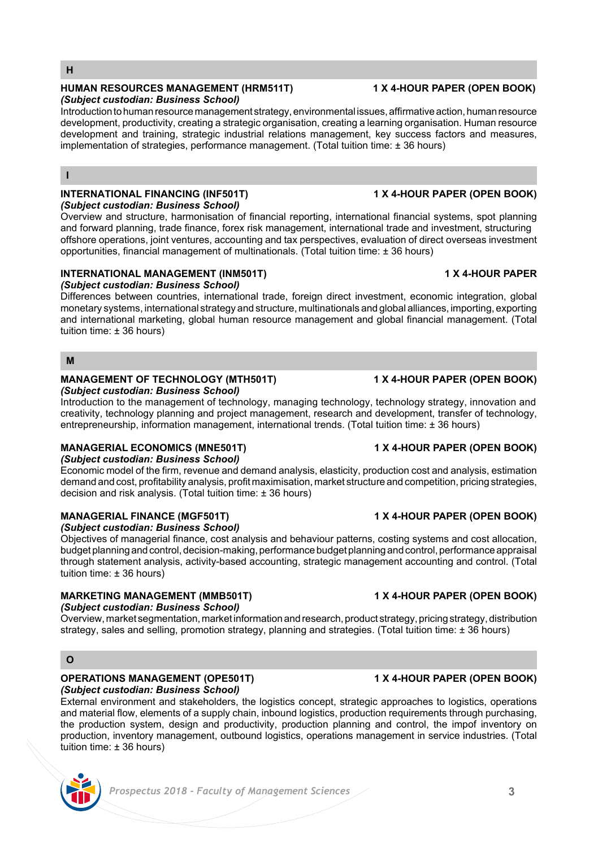## **H**

### **HUMAN RESOURCES MANAGEMENT (HRM511T) 1 X 4-HOUR PAPER (OPEN BOOK)** *(Subject custodian: Business School)*

Introduction to human resource management strategy, environmental issues, affirmative action, human resource development, productivity, creating a strategic organisation, creating a learning organisation. Human resource development and training, strategic industrial relations management, key success factors and measures, implementation of strategies, performance management. (Total tuition time: ± 36 hours)

### **I**

### **INTERNATIONAL FINANCING (INF501T) 1 X 4-HOUR PAPER (OPEN BOOK)** *(Subject custodian: Business School)*

Overview and structure, harmonisation of financial reporting, international financial systems, spot planning and forward planning, trade finance, forex risk management, international trade and investment, structuring offshore operations, joint ventures, accounting and tax perspectives, evaluation of direct overseas investment opportunities, financial management of multinationals. (Total tuition time: ± 36 hours)

## **INTERNATIONAL MANAGEMENT (INM501T) 1 X 4-HOUR PAPER**

## *(Subject custodian: Business School)*

Differences between countries, international trade, foreign direct investment, economic integration, global monetary systems, international strategy and structure, multinationals and global alliances, importing, exporting and international marketing, global human resource management and global financial management. (Total tuition time: ± 36 hours)

## **M**

### **MANAGEMENT OF TECHNOLOGY (MTH501T) 1 X 4-HOUR PAPER (OPEN BOOK)** *(Subject custodian: Business School)*

Introduction to the management of technology, managing technology, technology strategy, innovation and creativity, technology planning and project management, research and development, transfer of technology, entrepreneurship, information management, international trends. (Total tuition time: ± 36 hours)

## **MANAGERIAL ECONOMICS (MNE501T) 1 X 4-HOUR PAPER (OPEN BOOK)**

*(Subject custodian: Business School)*

Economic model of the firm, revenue and demand analysis, elasticity, production cost and analysis, estimation demand and cost, profitability analysis, profit maximisation, market structure and competition, pricing strategies, decision and risk analysis. (Total tuition time: ± 36 hours)

## **MANAGERIAL FINANCE (MGF501T) 1 X 4-HOUR PAPER (OPEN BOOK)**

*(Subject custodian: Business School)*

Objectives of managerial finance, cost analysis and behaviour patterns, costing systems and cost allocation, budget planning and control, decision-making, performance budget planning and control, performance appraisal through statement analysis, activity-based accounting, strategic management accounting and control. (Total tuition time: ± 36 hours)

## **MARKETING MANAGEMENT (MMB501T) 1 X 4-HOUR PAPER (OPEN BOOK)**

### *(Subject custodian: Business School)*

Overview, market segmentation, market information and research, product strategy, pricing strategy, distribution strategy, sales and selling, promotion strategy, planning and strategies. (Total tuition time: ± 36 hours)

## **O**

### **OPERATIONS MANAGEMENT (OPE501T) 1 X 4-HOUR PAPER (OPEN BOOK)**  *(Subject custodian: Business School)*

External environment and stakeholders, the logistics concept, strategic approaches to logistics, operations and material flow, elements of a supply chain, inbound logistics, production requirements through purchasing, the production system, design and productivity, production planning and control, the impof inventory on production, inventory management, outbound logistics, operations management in service industries. (Total tuition time: ± 36 hours)



# *Prospectus 2018 - Faculty of Management Sciences* **3**